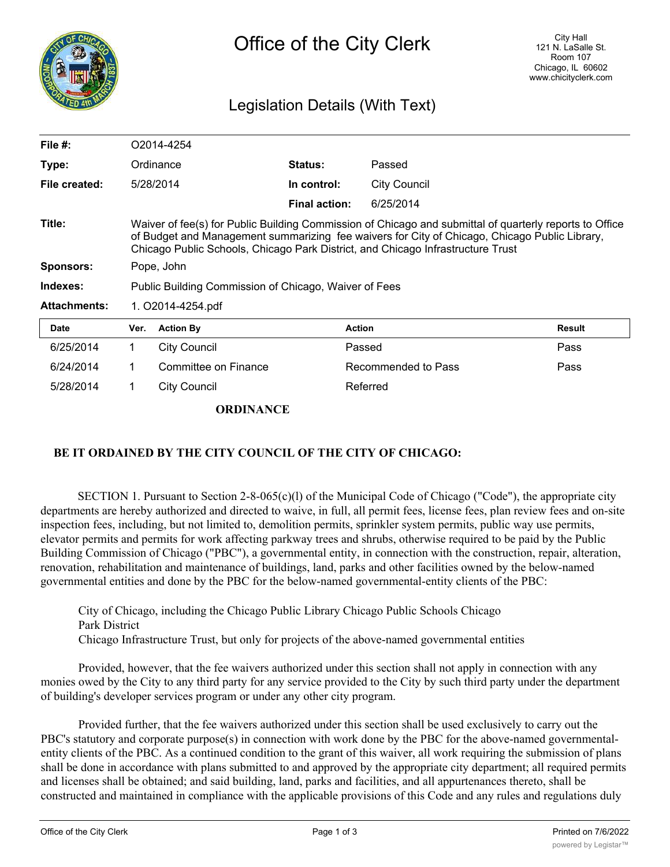

## Legislation Details (With Text)

| File $#$ :          | O2014-4254                                                                                                                                                                                                                                                                                  |                      |                      |                     |        |
|---------------------|---------------------------------------------------------------------------------------------------------------------------------------------------------------------------------------------------------------------------------------------------------------------------------------------|----------------------|----------------------|---------------------|--------|
| Type:               |                                                                                                                                                                                                                                                                                             | Ordinance            | <b>Status:</b>       | Passed              |        |
| File created:       |                                                                                                                                                                                                                                                                                             | 5/28/2014            | In control:          | <b>City Council</b> |        |
|                     |                                                                                                                                                                                                                                                                                             |                      | <b>Final action:</b> | 6/25/2014           |        |
| Title:              | Waiver of fee(s) for Public Building Commission of Chicago and submittal of quarterly reports to Office<br>of Budget and Management summarizing fee waivers for City of Chicago, Chicago Public Library,<br>Chicago Public Schools, Chicago Park District, and Chicago Infrastructure Trust |                      |                      |                     |        |
| <b>Sponsors:</b>    | Pope, John                                                                                                                                                                                                                                                                                  |                      |                      |                     |        |
| Indexes:            | Public Building Commission of Chicago, Waiver of Fees                                                                                                                                                                                                                                       |                      |                      |                     |        |
| <b>Attachments:</b> | 1. O2014-4254.pdf                                                                                                                                                                                                                                                                           |                      |                      |                     |        |
| <b>Date</b>         | Ver.                                                                                                                                                                                                                                                                                        | <b>Action By</b>     | <b>Action</b>        |                     | Result |
| 6/25/2014           | 1                                                                                                                                                                                                                                                                                           | <b>City Council</b>  |                      | Passed              | Pass   |
| 6/24/2014           |                                                                                                                                                                                                                                                                                             | Committee on Finance |                      | Recommended to Pass | Pass   |

**ORDINANCE**

5/28/2014 1 City Council Referred

## **BE IT ORDAINED BY THE CITY COUNCIL OF THE CITY OF CHICAGO:**

SECTION 1. Pursuant to Section  $2-8-065(c)(1)$  of the Municipal Code of Chicago ("Code"), the appropriate city departments are hereby authorized and directed to waive, in full, all permit fees, license fees, plan review fees and on-site inspection fees, including, but not limited to, demolition permits, sprinkler system permits, public way use permits, elevator permits and permits for work affecting parkway trees and shrubs, otherwise required to be paid by the Public Building Commission of Chicago ("PBC"), a governmental entity, in connection with the construction, repair, alteration, renovation, rehabilitation and maintenance of buildings, land, parks and other facilities owned by the below-named governmental entities and done by the PBC for the below-named governmental-entity clients of the PBC:

City of Chicago, including the Chicago Public Library Chicago Public Schools Chicago Park District Chicago Infrastructure Trust, but only for projects of the above-named governmental entities

Provided, however, that the fee waivers authorized under this section shall not apply in connection with any monies owed by the City to any third party for any service provided to the City by such third party under the department of building's developer services program or under any other city program.

Provided further, that the fee waivers authorized under this section shall be used exclusively to carry out the PBC's statutory and corporate purpose(s) in connection with work done by the PBC for the above-named governmentalentity clients of the PBC. As a continued condition to the grant of this waiver, all work requiring the submission of plans shall be done in accordance with plans submitted to and approved by the appropriate city department; all required permits and licenses shall be obtained; and said building, land, parks and facilities, and all appurtenances thereto, shall be constructed and maintained in compliance with the applicable provisions of this Code and any rules and regulations duly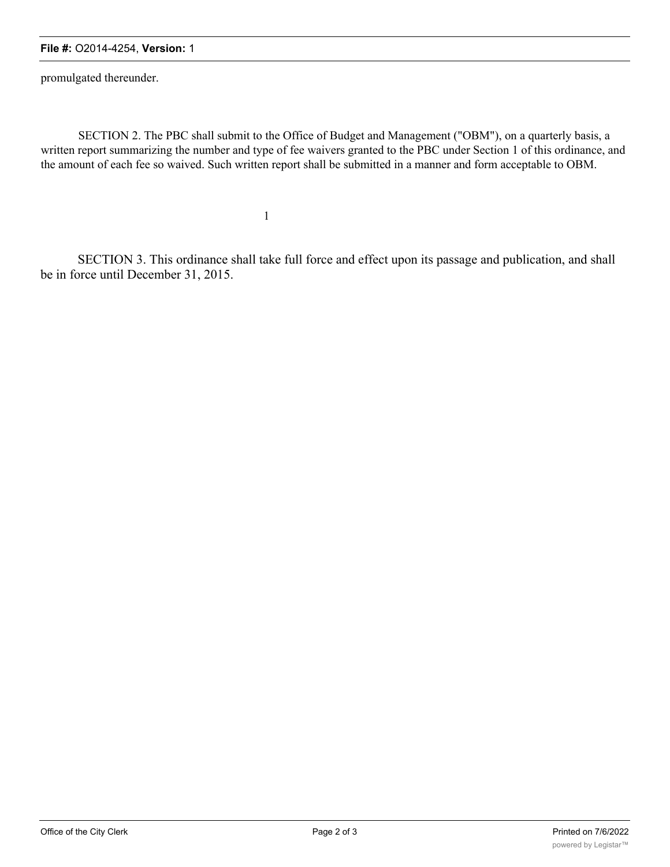## **File #:** O2014-4254, **Version:** 1

promulgated thereunder.

SECTION 2. The PBC shall submit to the Office of Budget and Management ("OBM"), on a quarterly basis, a written report summarizing the number and type of fee waivers granted to the PBC under Section 1 of this ordinance, and the amount of each fee so waived. Such written report shall be submitted in a manner and form acceptable to OBM.

1

SECTION 3. This ordinance shall take full force and effect upon its passage and publication, and shall be in force until December 31, 2015.